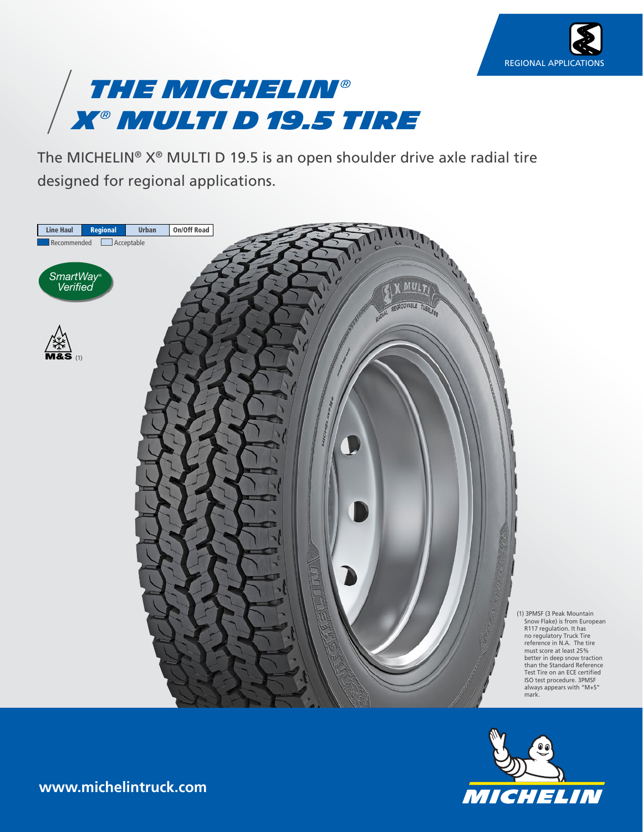



The MICHELIN® X® MULTI D 19.5 is an open shoulder drive axle radial tire designed for regional applications.





**www.michelintruck.com**